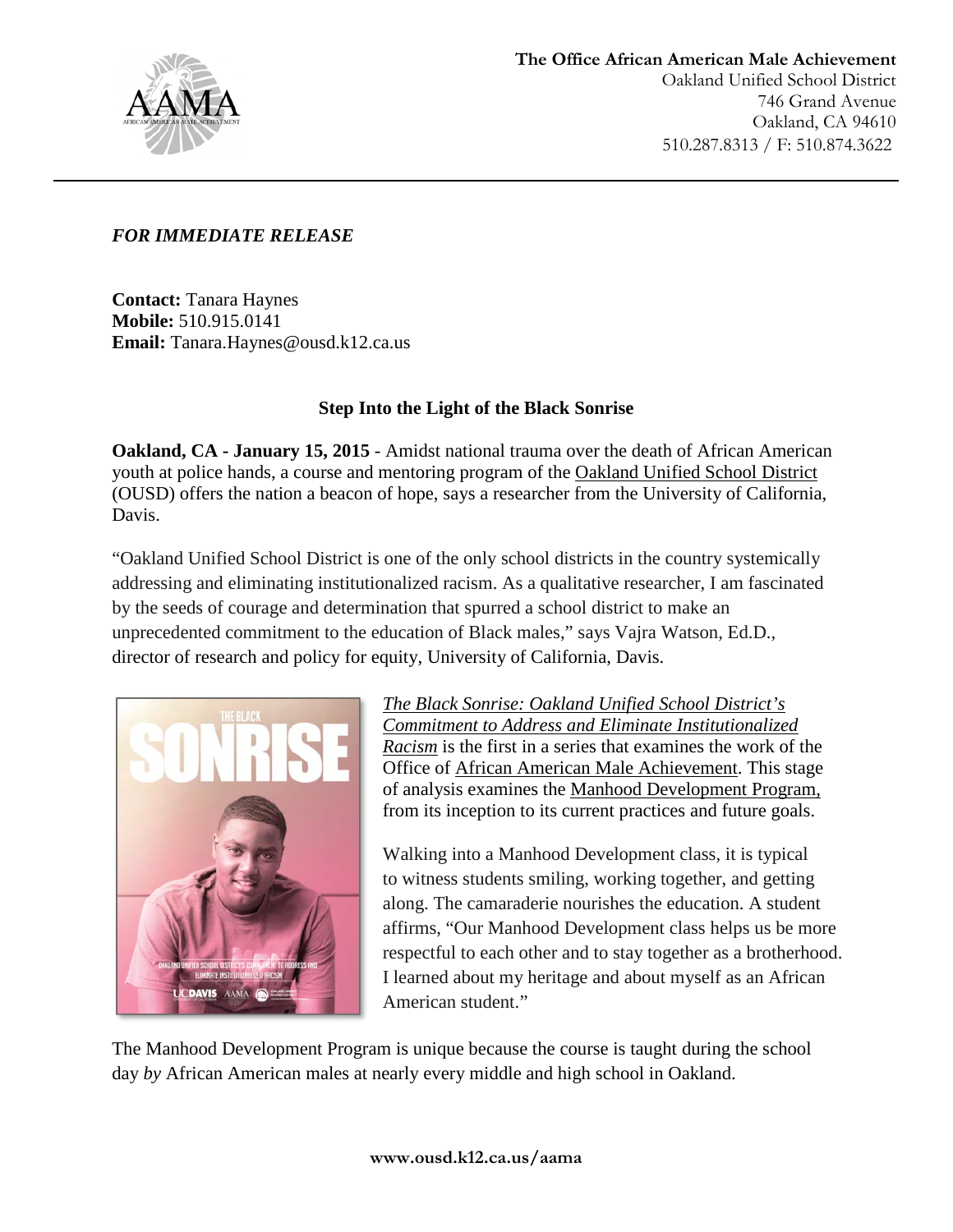

# *FOR IMMEDIATE RELEASE*

**Contact:** Tanara Haynes **Mobile:** 510.915.0141 **Email:** [Tanara.Haynes@ousd.k12.ca.us](mailto:Tanara.Haynes@ousd.k12.ca.us)

# **Step Into the Light of the Black Sonrise**

**Oakland, CA - January 15, 2015** - Amidst national trauma over the death of African American youth at police hands, a course and mentoring program of the [Oakland Unified School District](http://ousd.k12.ca.us/ousd) (OUSD) offers the nation a beacon of hope, says a researcher from the University of California, Davis.

"Oakland Unified School District is one of the only school districts in the country systemically addressing and eliminating institutionalized racism. As a qualitative researcher, I am fascinated by the seeds of courage and determination that spurred a school district to make an unprecedented commitment to the education of Black males," says Vajra Watson, Ed.D., director of research and policy for equity, University of California, Davis.



*The [Black Sonrise: Oakland Unified School District's](http://ousd.k12.ca.us/Page/12267)  [Commitment to Address and Eliminate Institutionalized](http://ousd.k12.ca.us/Page/12267)  [Racism](http://ousd.k12.ca.us/Page/12267)* is the first in a series that examines the work of the Office of [African American Male Achievement.](http://www.ousd.k12.ca.us/aama) This stage of analysis examines the [Manhood Development Program,](http://www.ousd.k12.ca.us/programs-services) from its inception to its current practices and future goals.

Walking into a Manhood Development class, it is typical to witness students smiling, working together, and getting along. The camaraderie nourishes the education. A student affirms, "Our Manhood Development class helps us be more respectful to each other and to stay together as a brotherhood. I learned about my heritage and about myself as an African American student."

The Manhood Development Program is unique because the course is taught during the school day *by* African American males at nearly every middle and high school in Oakland.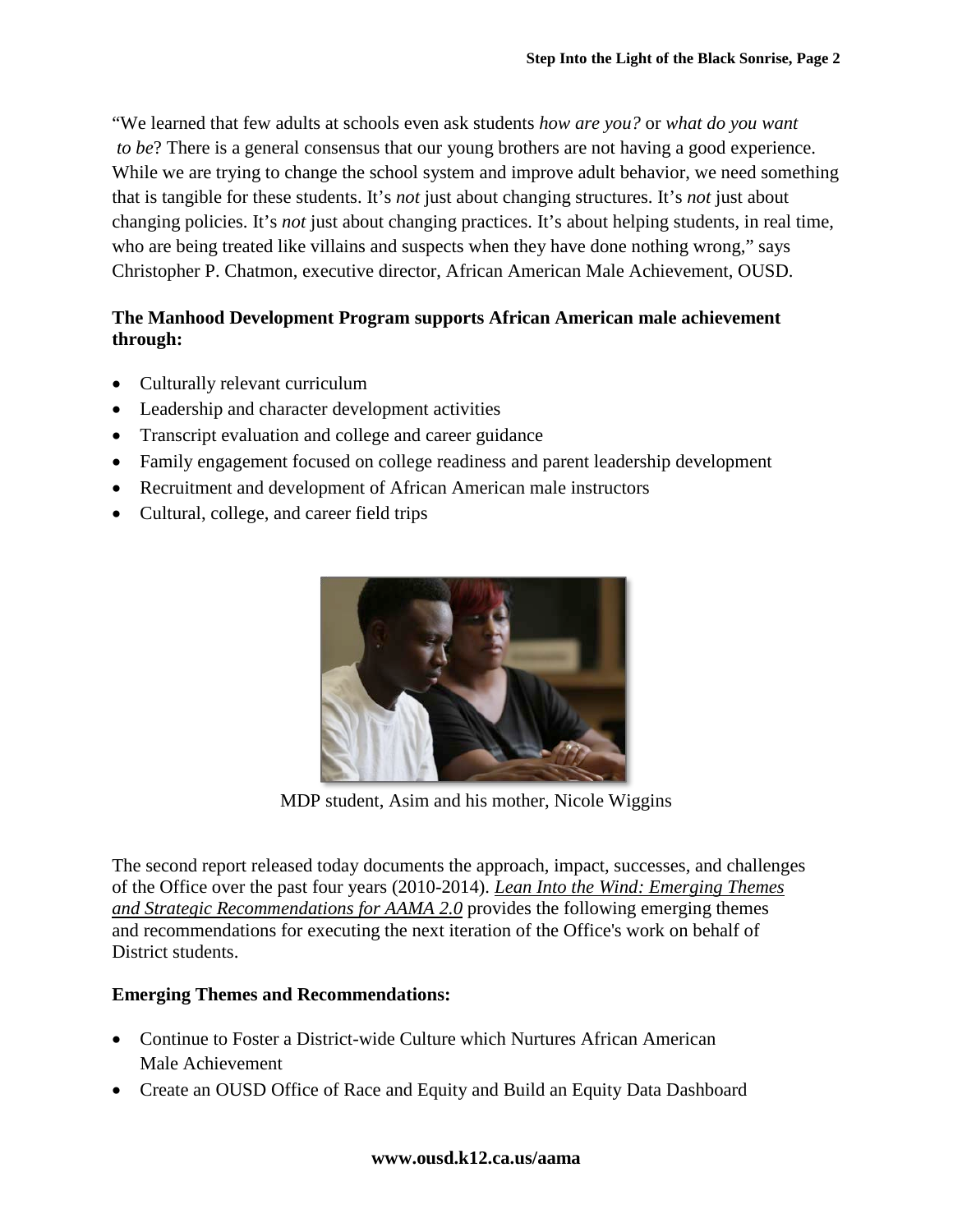"We learned that few adults at schools even ask students *how are you?* or *what do you want to be*? There is a general consensus that our young brothers are not having a good experience. While we are trying to change the school system and improve adult behavior, we need something that is tangible for these students. It's *not* just about changing structures. It's *not* just about changing policies. It's *not* just about changing practices. It's about helping students, in real time, who are being treated like villains and suspects when they have done nothing wrong," says Christopher P. Chatmon, executive director, African American Male Achievement, OUSD.

# **The Manhood Development Program supports African American male achievement through:**

- Culturally relevant curriculum
- Leadership and character development activities
- Transcript evaluation and college and career guidance
- Family engagement focused on college readiness and parent leadership development
- Recruitment and development of African American male instructors
- Cultural, college, and career field trips



MDP student, Asim and his mother, Nicole Wiggins

The second report released today documents the approach, impact, successes, and challenges of the Office over the past four years (2010-2014). *[Lean Into the Wind: Emerging Themes](http://ousd.k12.ca.us/Page/12268)  [and Strategic Recommendations for AAMA 2.0](http://ousd.k12.ca.us/Page/12268)* provides the following emerging themes and recommendations for executing the next iteration of the Office's work on behalf of District students.

### **Emerging Themes and Recommendations:**

- Continue to Foster a District-wide Culture which Nurtures African American Male Achievement
- Create an OUSD Office of Race and Equity and Build an Equity Data Dashboard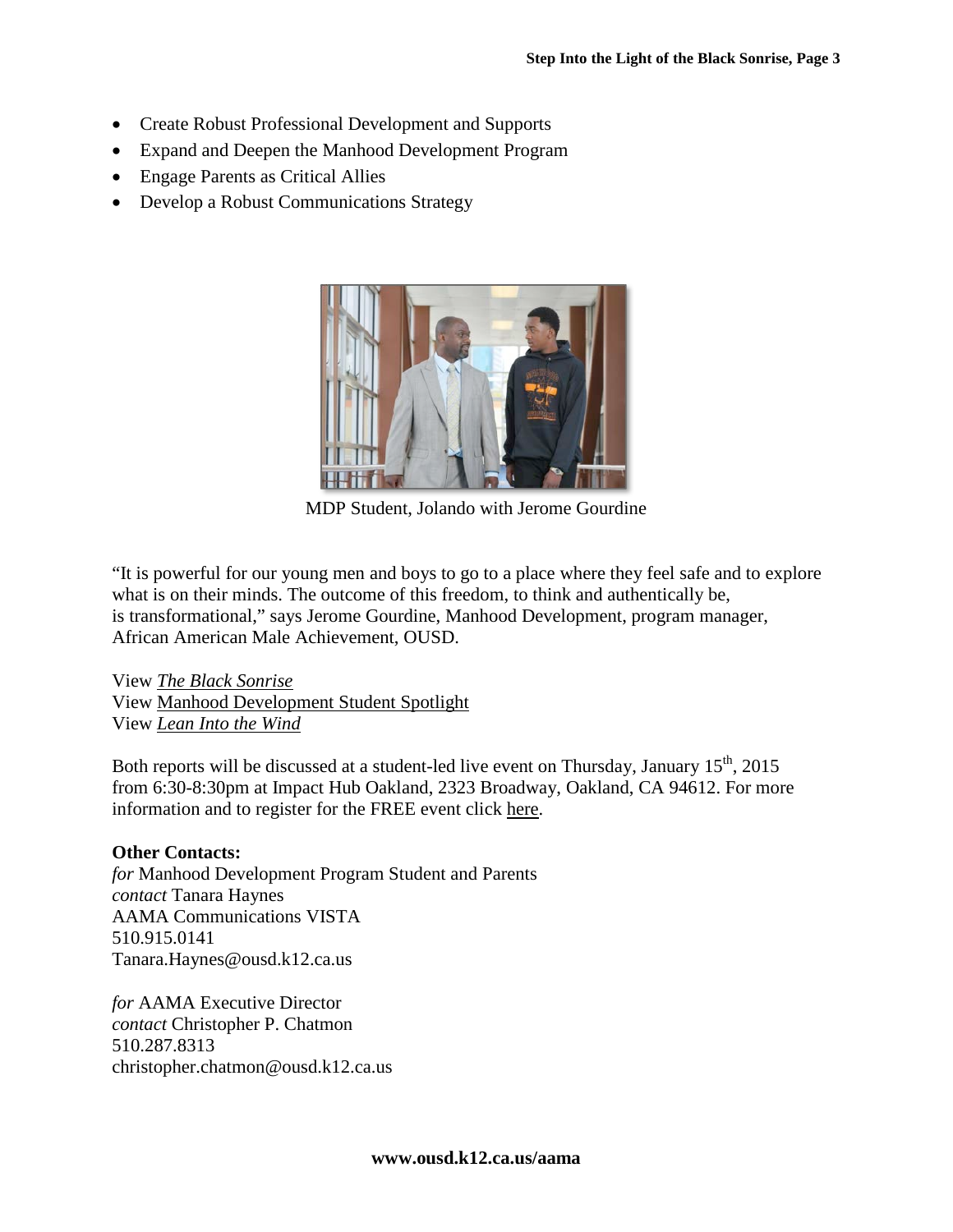- Create Robust Professional Development and Supports
- Expand and Deepen the Manhood Development Program
- Engage Parents as Critical Allies
- Develop a Robust Communications Strategy



MDP Student, Jolando with Jerome Gourdine

"It is powerful for our young men and boys to go to a place where they feel safe and to explore what is on their minds. The outcome of this freedom, to think and authentically be, is transformational," says Jerome Gourdine, Manhood Development, program manager, African American Male Achievement, OUSD.

View *[The Black Sonrise](http://ousd.k12.ca.us/Page/12267)* View [Manhood Development Student Spotlight](http://youtu.be/sj7UaldccjE) View *[Lean Into the Wind](http://ousd.k12.ca.us/Page/12268)*

Both reports will be discussed at a student-led live event on Thursday, January 15<sup>th</sup>, 2015 from 6:30-8:30pm at Impact Hub Oakland, 2323 Broadway, Oakland, CA 94612. For more information and to register for the FREE event click [here.](http://www.ousd.k12.ca.us/site/Default.aspx?PageID=12232&PageType=17&DomainID=78&ModuleInstanceID=13426&EventDateID=17643&CurrentView=month)

### **Other Contacts:**

*for* Manhood Development Program Student and Parents *contact* Tanara Haynes AAMA Communications VISTA [510.915.0141](tel:%5C510.915.0141) [Tanara.Haynes@ousd.k12.ca.us](mailto:josh.egel@ousd.k12.ca.us)

*for* AAMA Executive Director *contact* Christopher P. Chatmon [510.287.8313](tel:%5C510.287.8313) [christopher.chatmon@ousd.k12.ca.us](mailto:christopher.chatmon@ousd.k12.ca.us)